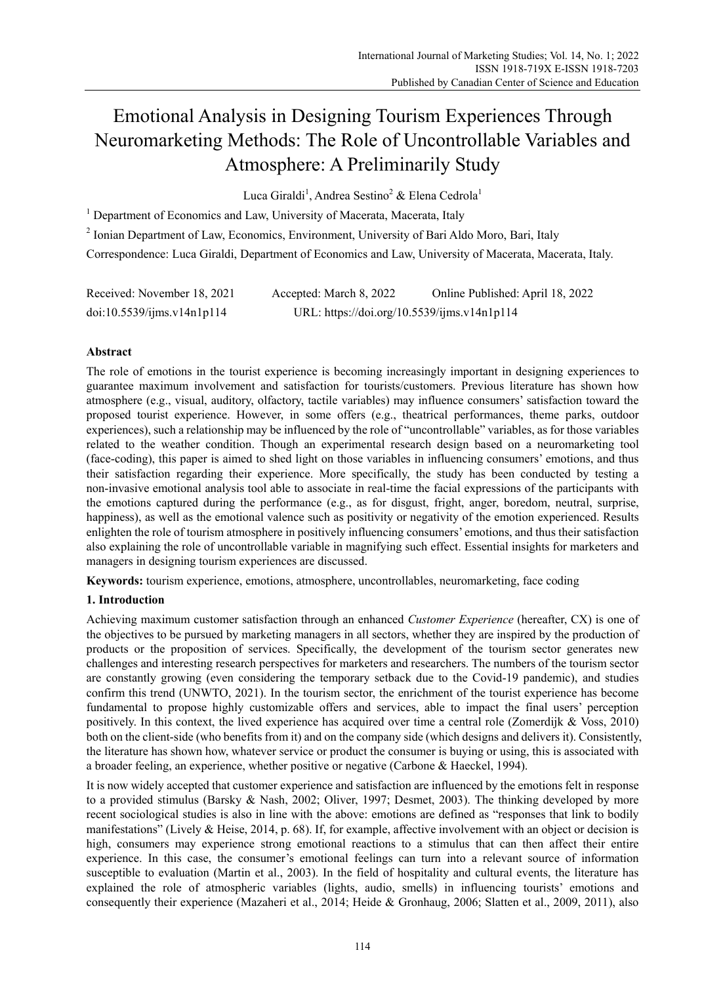# Emotional Analysis in Designing Tourism Experiences Through Neuromarketing Methods: The Role of Uncontrollable Variables and Atmosphere: A Preliminarily Study

Luca Giraldi<sup>1</sup>, Andrea Sestino<sup>2</sup> & Elena Cedrola<sup>1</sup>

<sup>1</sup> Department of Economics and Law, University of Macerata, Macerata, Italy

<sup>2</sup> Ionian Department of Law, Economics, Environment, University of Bari Aldo Moro, Bari, Italy

Correspondence: Luca Giraldi, Department of Economics and Law, University of Macerata, Macerata, Italy.

| Received: November 18, 2021 | Accepted: March 8, 2022                     | Online Published: April 18, 2022 |
|-----------------------------|---------------------------------------------|----------------------------------|
| doi:10.5539/ijms.v14n1p114  | URL: https://doi.org/10.5539/ijms.v14n1p114 |                                  |

# **Abstract**

The role of emotions in the tourist experience is becoming increasingly important in designing experiences to guarantee maximum involvement and satisfaction for tourists/customers. Previous literature has shown how atmosphere (e.g., visual, auditory, olfactory, tactile variables) may influence consumers' satisfaction toward the proposed tourist experience. However, in some offers (e.g., theatrical performances, theme parks, outdoor experiences), such a relationship may be influenced by the role of "uncontrollable" variables, as for those variables related to the weather condition. Though an experimental research design based on a neuromarketing tool (face-coding), this paper is aimed to shed light on those variables in influencing consumers' emotions, and thus their satisfaction regarding their experience. More specifically, the study has been conducted by testing a non-invasive emotional analysis tool able to associate in real-time the facial expressions of the participants with the emotions captured during the performance (e.g., as for disgust, fright, anger, boredom, neutral, surprise, happiness), as well as the emotional valence such as positivity or negativity of the emotion experienced. Results enlighten the role of tourism atmosphere in positively influencing consumers' emotions, and thus their satisfaction also explaining the role of uncontrollable variable in magnifying such effect. Essential insights for marketers and managers in designing tourism experiences are discussed.

**Keywords:** tourism experience, emotions, atmosphere, uncontrollables, neuromarketing, face coding

# **1. Introduction**

Achieving maximum customer satisfaction through an enhanced *Customer Experience* (hereafter, CX) is one of the objectives to be pursued by marketing managers in all sectors, whether they are inspired by the production of products or the proposition of services. Specifically, the development of the tourism sector generates new challenges and interesting research perspectives for marketers and researchers. The numbers of the tourism sector are constantly growing (even considering the temporary setback due to the Covid-19 pandemic), and studies confirm this trend (UNWTO, 2021). In the tourism sector, the enrichment of the tourist experience has become fundamental to propose highly customizable offers and services, able to impact the final users' perception positively. In this context, the lived experience has acquired over time a central role (Zomerdijk & Voss, 2010) both on the client-side (who benefits from it) and on the company side (which designs and delivers it). Consistently, the literature has shown how, whatever service or product the consumer is buying or using, this is associated with a broader feeling, an experience, whether positive or negative (Carbone & Haeckel, 1994).

It is now widely accepted that customer experience and satisfaction are influenced by the emotions felt in response to a provided stimulus (Barsky & Nash, 2002; Oliver, 1997; Desmet, 2003). The thinking developed by more recent sociological studies is also in line with the above: emotions are defined as "responses that link to bodily manifestations" (Lively & Heise, 2014, p. 68). If, for example, affective involvement with an object or decision is high, consumers may experience strong emotional reactions to a stimulus that can then affect their entire experience. In this case, the consumer's emotional feelings can turn into a relevant source of information susceptible to evaluation (Martin et al., 2003). In the field of hospitality and cultural events, the literature has explained the role of atmospheric variables (lights, audio, smells) in influencing tourists' emotions and consequently their experience (Mazaheri et al., 2014; Heide & Gronhaug, 2006; Slatten et al., 2009, 2011), also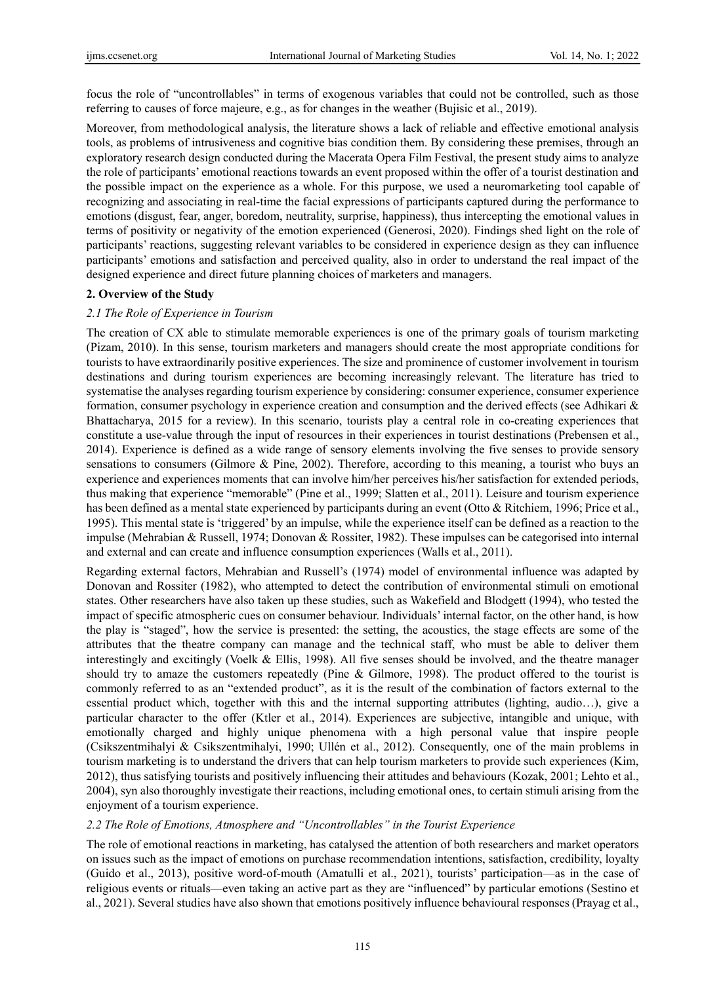focus the role of "uncontrollables" in terms of exogenous variables that could not be controlled, such as those referring to causes of force majeure, e.g., as for changes in the weather (Bujisic et al., 2019).

Moreover, from methodological analysis, the literature shows a lack of reliable and effective emotional analysis tools, as problems of intrusiveness and cognitive bias condition them. By considering these premises, through an exploratory research design conducted during the Macerata Opera Film Festival, the present study aims to analyze the role of participants' emotional reactions towards an event proposed within the offer of a tourist destination and the possible impact on the experience as a whole. For this purpose, we used a neuromarketing tool capable of recognizing and associating in real-time the facial expressions of participants captured during the performance to emotions (disgust, fear, anger, boredom, neutrality, surprise, happiness), thus intercepting the emotional values in terms of positivity or negativity of the emotion experienced (Generosi, 2020). Findings shed light on the role of participants' reactions, suggesting relevant variables to be considered in experience design as they can influence participants' emotions and satisfaction and perceived quality, also in order to understand the real impact of the designed experience and direct future planning choices of marketers and managers.

#### **2. Overview of the Study**

#### *2.1 The Role of Experience in Tourism*

The creation of CX able to stimulate memorable experiences is one of the primary goals of tourism marketing (Pizam, 2010). In this sense, tourism marketers and managers should create the most appropriate conditions for tourists to have extraordinarily positive experiences. The size and prominence of customer involvement in tourism destinations and during tourism experiences are becoming increasingly relevant. The literature has tried to systematise the analyses regarding tourism experience by considering: consumer experience, consumer experience formation, consumer psychology in experience creation and consumption and the derived effects (see Adhikari & Bhattacharya, 2015 for a review). In this scenario, tourists play a central role in co-creating experiences that constitute a use-value through the input of resources in their experiences in tourist destinations (Prebensen et al., 2014). Experience is defined as a wide range of sensory elements involving the five senses to provide sensory sensations to consumers (Gilmore & Pine, 2002). Therefore, according to this meaning, a tourist who buys an experience and experiences moments that can involve him/her perceives his/her satisfaction for extended periods, thus making that experience "memorable" (Pine et al., 1999; Slatten et al., 2011). Leisure and tourism experience has been defined as a mental state experienced by participants during an event (Otto & Ritchiem, 1996; Price et al., 1995). This mental state is 'triggered' by an impulse, while the experience itself can be defined as a reaction to the impulse (Mehrabian & Russell, 1974; Donovan & Rossiter, 1982). These impulses can be categorised into internal and external and can create and influence consumption experiences (Walls et al., 2011).

Regarding external factors, Mehrabian and Russell's (1974) model of environmental influence was adapted by Donovan and Rossiter (1982), who attempted to detect the contribution of environmental stimuli on emotional states. Other researchers have also taken up these studies, such as Wakefield and Blodgett (1994), who tested the impact of specific atmospheric cues on consumer behaviour. Individuals' internal factor, on the other hand, is how the play is "staged", how the service is presented: the setting, the acoustics, the stage effects are some of the attributes that the theatre company can manage and the technical staff, who must be able to deliver them interestingly and excitingly (Voelk & Ellis, 1998). All five senses should be involved, and the theatre manager should try to amaze the customers repeatedly (Pine & Gilmore, 1998). The product offered to the tourist is commonly referred to as an "extended product", as it is the result of the combination of factors external to the essential product which, together with this and the internal supporting attributes (lighting, audio…), give a particular character to the offer (Ktler et al., 2014). Experiences are subjective, intangible and unique, with emotionally charged and highly unique phenomena with a high personal value that inspire people (Csikszentmihalyi & Csikszentmihalyi, 1990; Ullén et al., 2012). Consequently, one of the main problems in tourism marketing is to understand the drivers that can help tourism marketers to provide such experiences (Kim, 2012), thus satisfying tourists and positively influencing their attitudes and behaviours (Kozak, 2001; Lehto et al., 2004), syn also thoroughly investigate their reactions, including emotional ones, to certain stimuli arising from the enjoyment of a tourism experience.

#### *2.2 The Role of Emotions, Atmosphere and "Uncontrollables" in the Tourist Experience*

The role of emotional reactions in marketing, has catalysed the attention of both researchers and market operators on issues such as the impact of emotions on purchase recommendation intentions, satisfaction, credibility, loyalty (Guido et al., 2013), positive word-of-mouth (Amatulli et al., 2021), tourists' participation—as in the case of religious events or rituals—even taking an active part as they are "influenced" by particular emotions (Sestino et al., 2021). Several studies have also shown that emotions positively influence behavioural responses (Prayag et al.,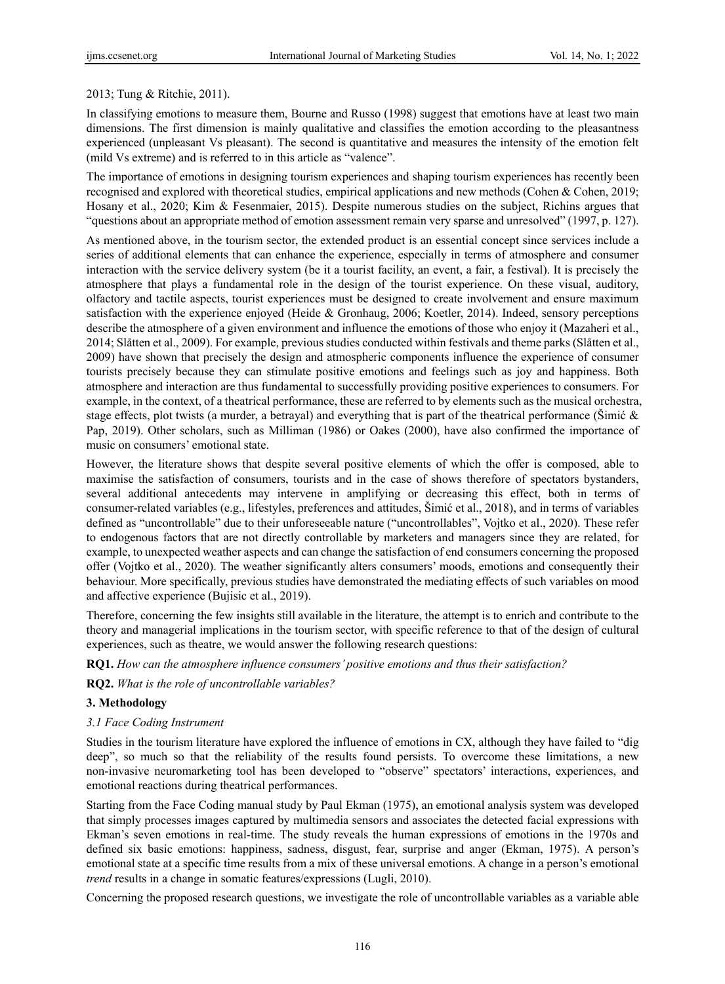## 2013; Tung & Ritchie, 2011).

In classifying emotions to measure them, Bourne and Russo (1998) suggest that emotions have at least two main dimensions. The first dimension is mainly qualitative and classifies the emotion according to the pleasantness experienced (unpleasant Vs pleasant). The second is quantitative and measures the intensity of the emotion felt (mild Vs extreme) and is referred to in this article as "valence".

The importance of emotions in designing tourism experiences and shaping tourism experiences has recently been recognised and explored with theoretical studies, empirical applications and new methods (Cohen & Cohen, 2019; Hosany et al., 2020; Kim & Fesenmaier, 2015). Despite numerous studies on the subject, Richins argues that "questions about an appropriate method of emotion assessment remain very sparse and unresolved" (1997, p. 127).

As mentioned above, in the tourism sector, the extended product is an essential concept since services include a series of additional elements that can enhance the experience, especially in terms of atmosphere and consumer interaction with the service delivery system (be it a tourist facility, an event, a fair, a festival). It is precisely the atmosphere that plays a fundamental role in the design of the tourist experience. On these visual, auditory, olfactory and tactile aspects, tourist experiences must be designed to create involvement and ensure maximum satisfaction with the experience enjoyed (Heide & Gronhaug, 2006; Koetler, 2014). Indeed, sensory perceptions describe the atmosphere of a given environment and influence the emotions of those who enjoy it (Mazaheri et al., 2014; Slåtten et al., 2009). For example, previous studies conducted within festivals and theme parks (Slåtten et al., 2009) have shown that precisely the design and atmospheric components influence the experience of consumer tourists precisely because they can stimulate positive emotions and feelings such as joy and happiness. Both atmosphere and interaction are thus fundamental to successfully providing positive experiences to consumers. For example, in the context, of a theatrical performance, these are referred to by elements such as the musical orchestra, stage effects, plot twists (a murder, a betrayal) and everything that is part of the theatrical performance (Simić  $\&$ Pap, 2019). Other scholars, such as Milliman (1986) or Oakes (2000), have also confirmed the importance of music on consumers' emotional state.

However, the literature shows that despite several positive elements of which the offer is composed, able to maximise the satisfaction of consumers, tourists and in the case of shows therefore of spectators bystanders, several additional antecedents may intervene in amplifying or decreasing this effect, both in terms of consumer-related variables (e.g., lifestyles, preferences and attitudes, Šimić et al., 2018), and in terms of variables defined as "uncontrollable" due to their unforeseeable nature ("uncontrollables", Vojtko et al., 2020). These refer to endogenous factors that are not directly controllable by marketers and managers since they are related, for example, to unexpected weather aspects and can change the satisfaction of end consumers concerning the proposed offer (Vojtko et al., 2020). The weather significantly alters consumers' moods, emotions and consequently their behaviour. More specifically, previous studies have demonstrated the mediating effects of such variables on mood and affective experience (Bujisic et al., 2019).

Therefore, concerning the few insights still available in the literature, the attempt is to enrich and contribute to the theory and managerial implications in the tourism sector, with specific reference to that of the design of cultural experiences, such as theatre, we would answer the following research questions:

**RQ1.** *How can the atmosphere influence consumers' positive emotions and thus their satisfaction?* 

**RQ2.** *What is the role of uncontrollable variables?* 

## **3. Methodology**

## *3.1 Face Coding Instrument*

Studies in the tourism literature have explored the influence of emotions in CX, although they have failed to "dig deep", so much so that the reliability of the results found persists. To overcome these limitations, a new non-invasive neuromarketing tool has been developed to "observe" spectators' interactions, experiences, and emotional reactions during theatrical performances.

Starting from the Face Coding manual study by Paul Ekman (1975), an emotional analysis system was developed that simply processes images captured by multimedia sensors and associates the detected facial expressions with Ekman's seven emotions in real-time. The study reveals the human expressions of emotions in the 1970s and defined six basic emotions: happiness, sadness, disgust, fear, surprise and anger (Ekman, 1975). A person's emotional state at a specific time results from a mix of these universal emotions. A change in a person's emotional *trend* results in a change in somatic features/expressions (Lugli, 2010).

Concerning the proposed research questions, we investigate the role of uncontrollable variables as a variable able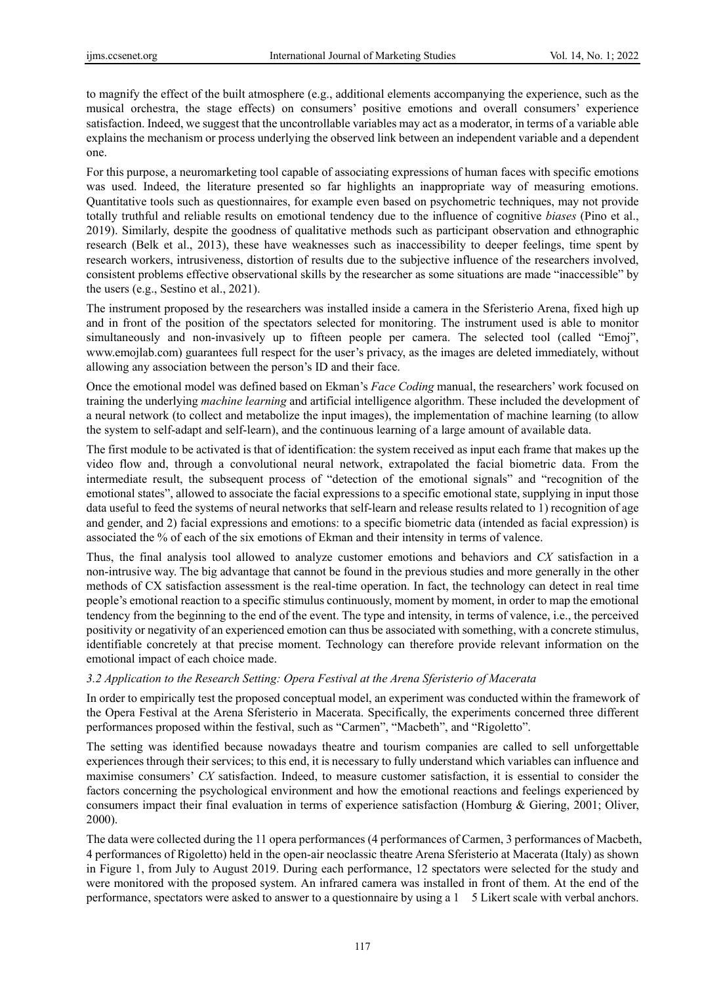to magnify the effect of the built atmosphere (e.g., additional elements accompanying the experience, such as the musical orchestra, the stage effects) on consumers' positive emotions and overall consumers' experience satisfaction. Indeed, we suggest that the uncontrollable variables may act as a moderator, in terms of a variable able explains the mechanism or process underlying the observed link between an independent variable and a dependent one.

For this purpose, a neuromarketing tool capable of associating expressions of human faces with specific emotions was used. Indeed, the literature presented so far highlights an inappropriate way of measuring emotions. Quantitative tools such as questionnaires, for example even based on psychometric techniques, may not provide totally truthful and reliable results on emotional tendency due to the influence of cognitive *biases* (Pino et al., 2019). Similarly, despite the goodness of qualitative methods such as participant observation and ethnographic research (Belk et al., 2013), these have weaknesses such as inaccessibility to deeper feelings, time spent by research workers, intrusiveness, distortion of results due to the subjective influence of the researchers involved, consistent problems effective observational skills by the researcher as some situations are made "inaccessible" by the users (e.g., Sestino et al., 2021).

The instrument proposed by the researchers was installed inside a camera in the Sferisterio Arena, fixed high up and in front of the position of the spectators selected for monitoring. The instrument used is able to monitor simultaneously and non-invasively up to fifteen people per camera. The selected tool (called "Emoj", www.emojlab.com) guarantees full respect for the user's privacy, as the images are deleted immediately, without allowing any association between the person's ID and their face.

Once the emotional model was defined based on Ekman's *Face Coding* manual, the researchers' work focused on training the underlying *machine learning* and artificial intelligence algorithm. These included the development of a neural network (to collect and metabolize the input images), the implementation of machine learning (to allow the system to self-adapt and self-learn), and the continuous learning of a large amount of available data.

The first module to be activated is that of identification: the system received as input each frame that makes up the video flow and, through a convolutional neural network, extrapolated the facial biometric data. From the intermediate result, the subsequent process of "detection of the emotional signals" and "recognition of the emotional states", allowed to associate the facial expressions to a specific emotional state, supplying in input those data useful to feed the systems of neural networks that self-learn and release results related to 1) recognition of age and gender, and 2) facial expressions and emotions: to a specific biometric data (intended as facial expression) is associated the % of each of the six emotions of Ekman and their intensity in terms of valence.

Thus, the final analysis tool allowed to analyze customer emotions and behaviors and *CX* satisfaction in a non-intrusive way. The big advantage that cannot be found in the previous studies and more generally in the other methods of CX satisfaction assessment is the real-time operation. In fact, the technology can detect in real time people's emotional reaction to a specific stimulus continuously, moment by moment, in order to map the emotional tendency from the beginning to the end of the event. The type and intensity, in terms of valence, i.e., the perceived positivity or negativity of an experienced emotion can thus be associated with something, with a concrete stimulus, identifiable concretely at that precise moment. Technology can therefore provide relevant information on the emotional impact of each choice made.

## *3.2 Application to the Research Setting: Opera Festival at the Arena Sferisterio of Macerata*

In order to empirically test the proposed conceptual model, an experiment was conducted within the framework of the Opera Festival at the Arena Sferisterio in Macerata. Specifically, the experiments concerned three different performances proposed within the festival, such as "Carmen", "Macbeth", and "Rigoletto".

The setting was identified because nowadays theatre and tourism companies are called to sell unforgettable experiences through their services; to this end, it is necessary to fully understand which variables can influence and maximise consumers' *CX* satisfaction. Indeed, to measure customer satisfaction, it is essential to consider the factors concerning the psychological environment and how the emotional reactions and feelings experienced by consumers impact their final evaluation in terms of experience satisfaction (Homburg & Giering, 2001; Oliver, 2000).

The data were collected during the 11 opera performances (4 performances of Carmen, 3 performances of Macbeth, 4 performances of Rigoletto) held in the open-air neoclassic theatre Arena Sferisterio at Macerata (Italy) as shown in Figure 1, from July to August 2019. During each performance, 12 spectators were selected for the study and were monitored with the proposed system. An infrared camera was installed in front of them. At the end of the performance, spectators were asked to answer to a questionnaire by using a 1 5 Likert scale with verbal anchors.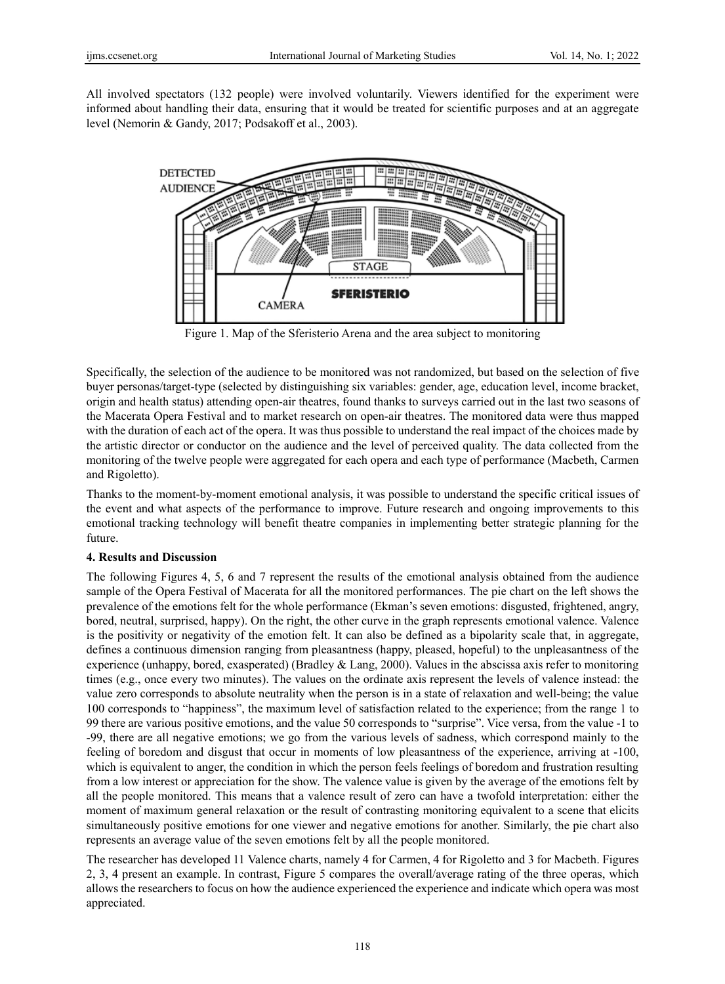All involved spectators (132 people) were involved voluntarily. Viewers identified for the experiment were informed about handling their data, ensuring that it would be treated for scientific purposes and at an aggregate level (Nemorin & Gandy, 2017; Podsakoff et al., 2003).



Figure 1. Map of the Sferisterio Arena and the area subject to monitoring

Specifically, the selection of the audience to be monitored was not randomized, but based on the selection of five buyer personas/target-type (selected by distinguishing six variables: gender, age, education level, income bracket, origin and health status) attending open-air theatres, found thanks to surveys carried out in the last two seasons of the Macerata Opera Festival and to market research on open-air theatres. The monitored data were thus mapped with the duration of each act of the opera. It was thus possible to understand the real impact of the choices made by the artistic director or conductor on the audience and the level of perceived quality. The data collected from the monitoring of the twelve people were aggregated for each opera and each type of performance (Macbeth, Carmen and Rigoletto).

Thanks to the moment-by-moment emotional analysis, it was possible to understand the specific critical issues of the event and what aspects of the performance to improve. Future research and ongoing improvements to this emotional tracking technology will benefit theatre companies in implementing better strategic planning for the future.

## **4. Results and Discussion**

The following Figures 4, 5, 6 and 7 represent the results of the emotional analysis obtained from the audience sample of the Opera Festival of Macerata for all the monitored performances. The pie chart on the left shows the prevalence of the emotions felt for the whole performance (Ekman's seven emotions: disgusted, frightened, angry, bored, neutral, surprised, happy). On the right, the other curve in the graph represents emotional valence. Valence is the positivity or negativity of the emotion felt. It can also be defined as a bipolarity scale that, in aggregate, defines a continuous dimension ranging from pleasantness (happy, pleased, hopeful) to the unpleasantness of the experience (unhappy, bored, exasperated) (Bradley & Lang, 2000). Values in the abscissa axis refer to monitoring times (e.g., once every two minutes). The values on the ordinate axis represent the levels of valence instead: the value zero corresponds to absolute neutrality when the person is in a state of relaxation and well-being; the value 100 corresponds to "happiness", the maximum level of satisfaction related to the experience; from the range 1 to 99 there are various positive emotions, and the value 50 corresponds to "surprise". Vice versa, from the value -1 to -99, there are all negative emotions; we go from the various levels of sadness, which correspond mainly to the feeling of boredom and disgust that occur in moments of low pleasantness of the experience, arriving at -100, which is equivalent to anger, the condition in which the person feels feelings of boredom and frustration resulting from a low interest or appreciation for the show. The valence value is given by the average of the emotions felt by all the people monitored. This means that a valence result of zero can have a twofold interpretation: either the moment of maximum general relaxation or the result of contrasting monitoring equivalent to a scene that elicits simultaneously positive emotions for one viewer and negative emotions for another. Similarly, the pie chart also represents an average value of the seven emotions felt by all the people monitored.

The researcher has developed 11 Valence charts, namely 4 for Carmen, 4 for Rigoletto and 3 for Macbeth. Figures 2, 3, 4 present an example. In contrast, Figure 5 compares the overall/average rating of the three operas, which allows the researchers to focus on how the audience experienced the experience and indicate which opera was most appreciated.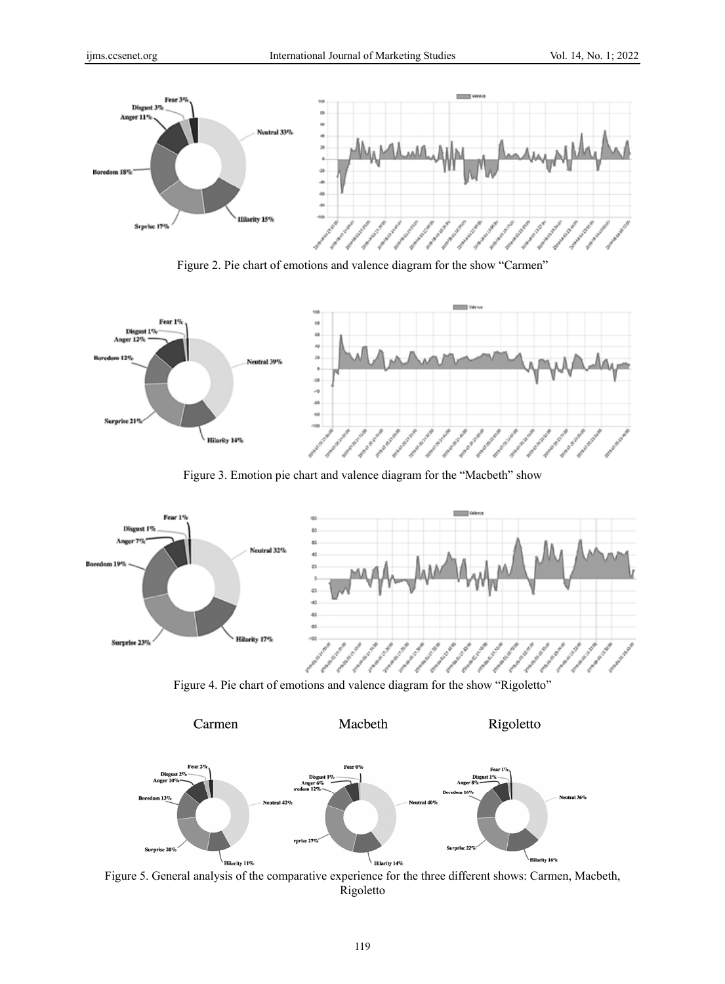





Figure 3. Emotion pie chart and valence diagram for the "Macbeth" show



Figure 4. Pie chart of emotions and valence diagram for the show "Rigoletto"



Figure 5. General analysis of the comparative experience for the three different shows: Carmen, Macbeth, Rigoletto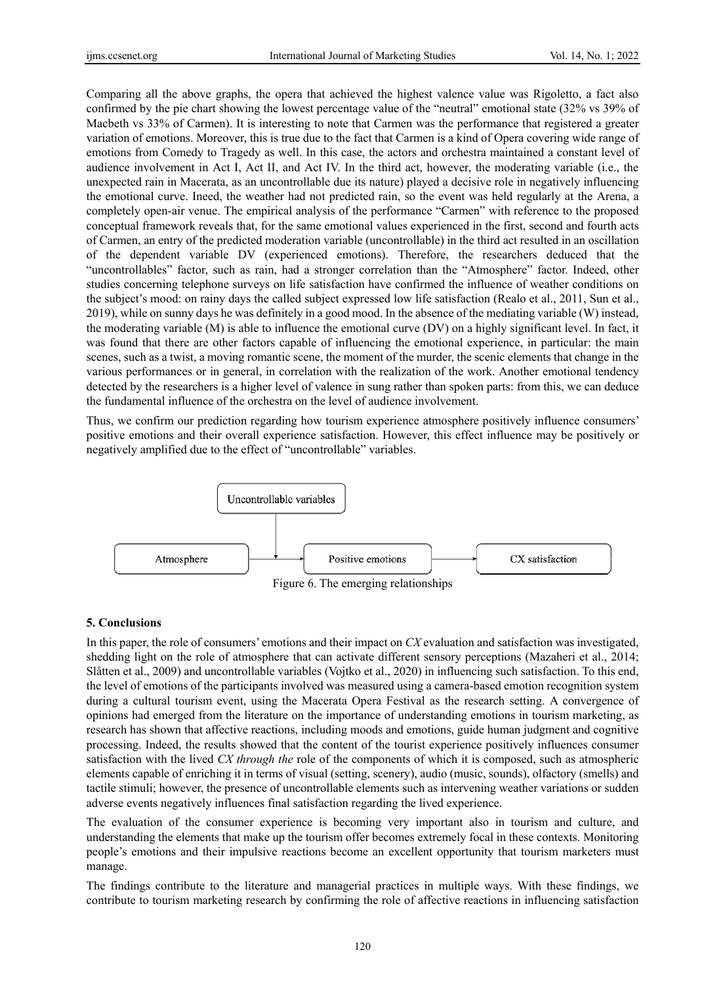Comparing all the above graphs, the opera that achieved the highest valence value was Rigoletto, a fact also confirmed by the pie chart showing the lowest percentage value of the "neutral" emotional state (32% vs 39% of Macbeth vs 33% of Carmen). It is interesting to note that Carmen was the performance that registered a greater variation of emotions. Moreover, this is true due to the fact that Carmen is a kind of Opera covering wide range of emotions from Comedy to Tragedy as well. In this case, the actors and orchestra maintained a constant level of audience involvement in Act I, Act II, and Act IV. In the third act, however, the moderating variable (i.e., the unexpected rain in Macerata, as an uncontrollable due its nature) played a decisive role in negatively influencing the emotional curve. Ineed, the weather had not predicted rain, so the event was held regularly at the Arena, a completely open-air venue. The empirical analysis of the performance "Carmen" with reference to the proposed conceptual framework reveals that, for the same emotional values experienced in the first, second and fourth acts of Carmen, an entry of the predicted moderation variable (uncontrollable) in the third act resulted in an oscillation of the dependent variable DV (experienced emotions). Therefore, the researchers deduced that the "uncontrollables" factor, such as rain, had a stronger correlation than the "Atmosphere" factor. Indeed, other studies concerning telephone surveys on life satisfaction have confirmed the influence of weather conditions on the subject's mood: on rainy days the called subject expressed low life satisfaction (Realo et al., 2011, Sun et al., 2019), while on sunny days he was definitely in a good mood. In the absence of the mediating variable (W) instead, the moderating variable (M) is able to influence the emotional curve (DV) on a highly significant level. In fact, it was found that there are other factors capable of influencing the emotional experience, in particular: the main scenes, such as a twist, a moving romantic scene, the moment of the murder, the scenic elements that change in the various performances or in general, in correlation with the realization of the work. Another emotional tendency detected by the researchers is a higher level of valence in sung rather than spoken parts: from this, we can deduce the fundamental influence of the orchestra on the level of audience involvement.

Thus, we confirm our prediction regarding how tourism experience atmosphere positively influence consumers' positive emotions and their overall experience satisfaction. However, this effect influence may be positively or negatively amplified due to the effect of "uncontrollable" variables.



# Figure 6. The emerging relationships

## **5. Conclusions**

In this paper, the role of consumers' emotions and their impact on *CX* evaluation and satisfaction was investigated, shedding light on the role of atmosphere that can activate different sensory perceptions (Mazaheri et al., 2014; Slåtten et al., 2009) and uncontrollable variables (Vojtko et al., 2020) in influencing such satisfaction. To this end, the level of emotions of the participants involved was measured using a camera-based emotion recognition system during a cultural tourism event, using the Macerata Opera Festival as the research setting. A convergence of opinions had emerged from the literature on the importance of understanding emotions in tourism marketing, as research has shown that affective reactions, including moods and emotions, guide human judgment and cognitive processing. Indeed, the results showed that the content of the tourist experience positively influences consumer satisfaction with the lived *CX through the* role of the components of which it is composed, such as atmospheric elements capable of enriching it in terms of visual (setting, scenery), audio (music, sounds), olfactory (smells) and tactile stimuli; however, the presence of uncontrollable elements such as intervening weather variations or sudden adverse events negatively influences final satisfaction regarding the lived experience.

The evaluation of the consumer experience is becoming very important also in tourism and culture, and understanding the elements that make up the tourism offer becomes extremely focal in these contexts. Monitoring people's emotions and their impulsive reactions become an excellent opportunity that tourism marketers must manage.

The findings contribute to the literature and managerial practices in multiple ways. With these findings, we contribute to tourism marketing research by confirming the role of affective reactions in influencing satisfaction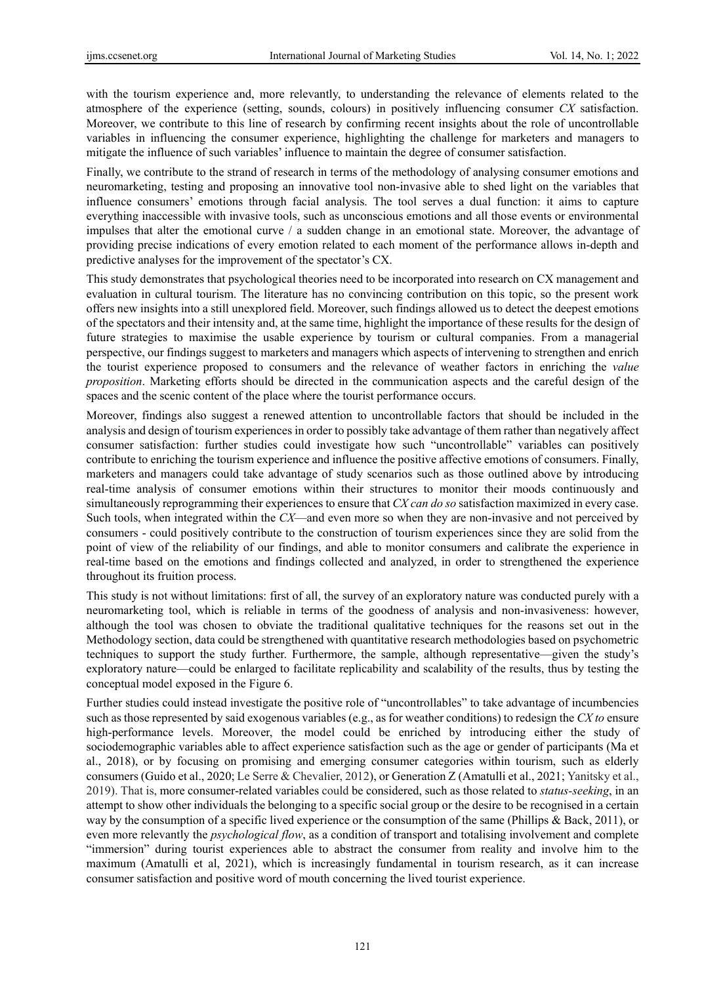with the tourism experience and, more relevantly, to understanding the relevance of elements related to the atmosphere of the experience (setting, sounds, colours) in positively influencing consumer *CX* satisfaction. Moreover, we contribute to this line of research by confirming recent insights about the role of uncontrollable variables in influencing the consumer experience, highlighting the challenge for marketers and managers to mitigate the influence of such variables' influence to maintain the degree of consumer satisfaction.

Finally, we contribute to the strand of research in terms of the methodology of analysing consumer emotions and neuromarketing, testing and proposing an innovative tool non-invasive able to shed light on the variables that influence consumers' emotions through facial analysis. The tool serves a dual function: it aims to capture everything inaccessible with invasive tools, such as unconscious emotions and all those events or environmental impulses that alter the emotional curve / a sudden change in an emotional state. Moreover, the advantage of providing precise indications of every emotion related to each moment of the performance allows in-depth and predictive analyses for the improvement of the spectator's CX.

This study demonstrates that psychological theories need to be incorporated into research on CX management and evaluation in cultural tourism. The literature has no convincing contribution on this topic, so the present work offers new insights into a still unexplored field. Moreover, such findings allowed us to detect the deepest emotions of the spectators and their intensity and, at the same time, highlight the importance of these results for the design of future strategies to maximise the usable experience by tourism or cultural companies. From a managerial perspective, our findings suggest to marketers and managers which aspects of intervening to strengthen and enrich the tourist experience proposed to consumers and the relevance of weather factors in enriching the *value proposition*. Marketing efforts should be directed in the communication aspects and the careful design of the spaces and the scenic content of the place where the tourist performance occurs.

Moreover, findings also suggest a renewed attention to uncontrollable factors that should be included in the analysis and design of tourism experiences in order to possibly take advantage of them rather than negatively affect consumer satisfaction: further studies could investigate how such "uncontrollable" variables can positively contribute to enriching the tourism experience and influence the positive affective emotions of consumers. Finally, marketers and managers could take advantage of study scenarios such as those outlined above by introducing real-time analysis of consumer emotions within their structures to monitor their moods continuously and simultaneously reprogramming their experiences to ensure that *CX can do so* satisfaction maximized in every case. Such tools, when integrated within the *CX*—and even more so when they are non-invasive and not perceived by consumers - could positively contribute to the construction of tourism experiences since they are solid from the point of view of the reliability of our findings, and able to monitor consumers and calibrate the experience in real-time based on the emotions and findings collected and analyzed, in order to strengthened the experience throughout its fruition process.

This study is not without limitations: first of all, the survey of an exploratory nature was conducted purely with a neuromarketing tool, which is reliable in terms of the goodness of analysis and non-invasiveness: however, although the tool was chosen to obviate the traditional qualitative techniques for the reasons set out in the Methodology section, data could be strengthened with quantitative research methodologies based on psychometric techniques to support the study further. Furthermore, the sample, although representative—given the study's exploratory nature—could be enlarged to facilitate replicability and scalability of the results, thus by testing the conceptual model exposed in the Figure 6.

Further studies could instead investigate the positive role of "uncontrollables" to take advantage of incumbencies such as those represented by said exogenous variables (e.g., as for weather conditions) to redesign the *CX to* ensure high-performance levels. Moreover, the model could be enriched by introducing either the study of sociodemographic variables able to affect experience satisfaction such as the age or gender of participants (Ma et al., 2018), or by focusing on promising and emerging consumer categories within tourism, such as elderly consumers (Guido et al., 2020; Le Serre & Chevalier, 2012), or Generation Z (Amatulli et al., 2021; Yanitsky et al., 2019). That is, more consumer-related variables could be considered, such as those related to *status-seeking*, in an attempt to show other individuals the belonging to a specific social group or the desire to be recognised in a certain way by the consumption of a specific lived experience or the consumption of the same (Phillips & Back, 2011), or even more relevantly the *psychological flow*, as a condition of transport and totalising involvement and complete "immersion" during tourist experiences able to abstract the consumer from reality and involve him to the maximum (Amatulli et al, 2021), which is increasingly fundamental in tourism research, as it can increase consumer satisfaction and positive word of mouth concerning the lived tourist experience.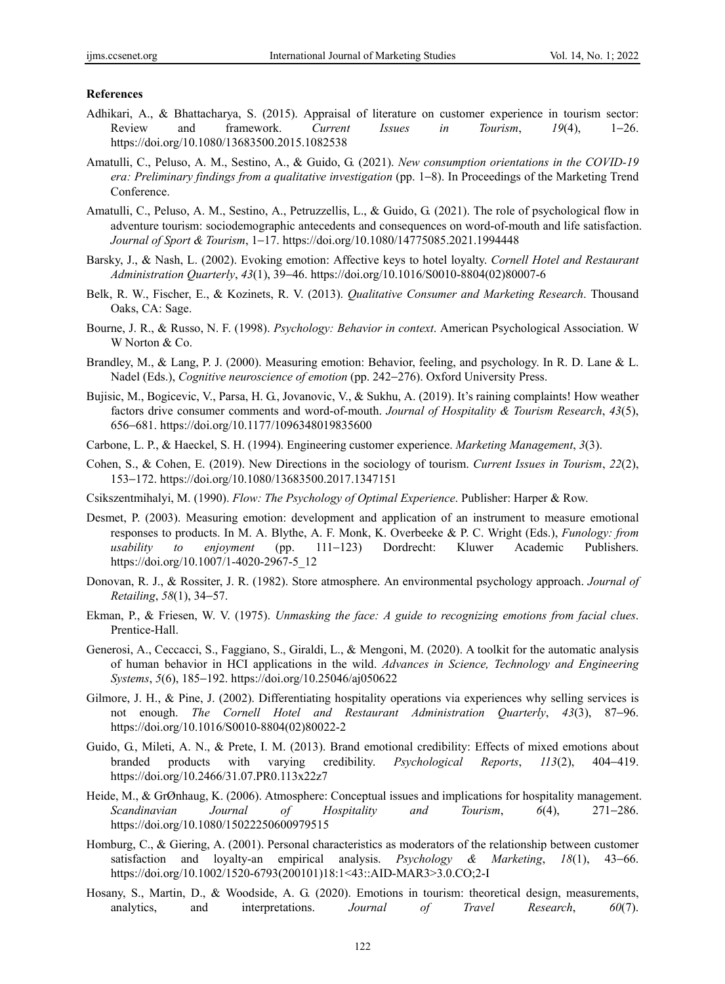#### **References**

- Adhikari, A., & Bhattacharya, S. (2015). Appraisal of literature on customer experience in tourism sector: Review and framework. *Current Issues in Tourism*, *19*(4), 1−26. https://doi.org/10.1080/13683500.2015.1082538
- Amatulli, C., Peluso, A. M., Sestino, A., & Guido, G. (2021). *New consumption orientations in the COVID-19 era: Preliminary findings from a qualitative investigation* (pp. 1–8). In Proceedings of the Marketing Trend Conference.
- Amatulli, C., Peluso, A. M., Sestino, A., Petruzzellis, L., & Guido, G. (2021). The role of psychological flow in adventure tourism: sociodemographic antecedents and consequences on word-of-mouth and life satisfaction. *Journal of Sport & Tourism*, 1−17. https://doi.org/10.1080/14775085.2021.1994448
- Barsky, J., & Nash, L. (2002). Evoking emotion: Affective keys to hotel loyalty. *Cornell Hotel and Restaurant Administration Quarterly*, *43*(1), 39−46. https://doi.org/10.1016/S0010-8804(02)80007-6
- Belk, R. W., Fischer, E., & Kozinets, R. V. (2013). *Qualitative Consumer and Marketing Research*. Thousand Oaks, CA: Sage.
- Bourne, J. R., & Russo, N. F. (1998). *Psychology: Behavior in context*. American Psychological Association. W W Norton & Co.
- Brandley, M., & Lang, P. J. (2000). Measuring emotion: Behavior, feeling, and psychology. In R. D. Lane & L. Nadel (Eds.), *Cognitive neuroscience of emotion* (pp. 242−276). Oxford University Press.
- Bujisic, M., Bogicevic, V., Parsa, H. G., Jovanovic, V., & Sukhu, A. (2019). It's raining complaints! How weather factors drive consumer comments and word-of-mouth. *Journal of Hospitality & Tourism Research*, *43*(5), 656−681. https://doi.org/10.1177/1096348019835600
- Carbone, L. P., & Haeckel, S. H. (1994). Engineering customer experience. *Marketing Management*, *3*(3).
- Cohen, S., & Cohen, E. (2019). New Directions in the sociology of tourism. *Current Issues in Tourism*, *22*(2), 153−172. https://doi.org/10.1080/13683500.2017.1347151
- Csikszentmihalyi, M. (1990). *Flow: The Psychology of Optimal Experience*. Publisher: Harper & Row.
- Desmet, P. (2003). Measuring emotion: development and application of an instrument to measure emotional responses to products. In M. A. Blythe, A. F. Monk, K. Overbeeke & P. C. Wright (Eds.), *Funology: from usability to enjoyment* (pp. 111−123) Dordrecht: Kluwer Academic Publishers. https://doi.org/10.1007/1-4020-2967-5\_12
- Donovan, R. J., & Rossiter, J. R. (1982). Store atmosphere. An environmental psychology approach. *Journal of Retailing*, *58*(1), 34−57.
- Ekman, P., & Friesen, W. V. (1975). *Unmasking the face: A guide to recognizing emotions from facial clues*. Prentice-Hall.
- Generosi, A., Ceccacci, S., Faggiano, S., Giraldi, L., & Mengoni, M. (2020). A toolkit for the automatic analysis of human behavior in HCI applications in the wild. *Advances in Science, Technology and Engineering Systems*, *5*(6), 185−192. https://doi.org/10.25046/aj050622
- Gilmore, J. H., & Pine, J. (2002). Differentiating hospitality operations via experiences why selling services is not enough. *The Cornell Hotel and Restaurant Administration Quarterly*, *43*(3), 87−96. https://doi.org/10.1016/S0010-8804(02)80022-2
- Guido, G., Mileti, A. N., & Prete, I. M. (2013). Brand emotional credibility: Effects of mixed emotions about branded products with varying credibility. *Psychological Reports*, *113*(2), 404−419. https://doi.org/10.2466/31.07.PR0.113x22z7
- Heide, M., & GrØnhaug, K. (2006). Atmosphere: Conceptual issues and implications for hospitality management. *Scandinavian Journal of Hospitality and Tourism*, *6*(4), 271−286. https://doi.org/10.1080/15022250600979515
- Homburg, C., & Giering, A. (2001). Personal characteristics as moderators of the relationship between customer satisfaction and loyalty-an empirical analysis. *Psychology & Marketing*, *18*(1), 43−66. https://doi.org/10.1002/1520-6793(200101)18:1<43::AID-MAR3>3.0.CO;2-I
- Hosany, S., Martin, D., & Woodside, A. G. (2020). Emotions in tourism: theoretical design, measurements, analytics, and interpretations. *Journal of Travel Research*, *60*(7).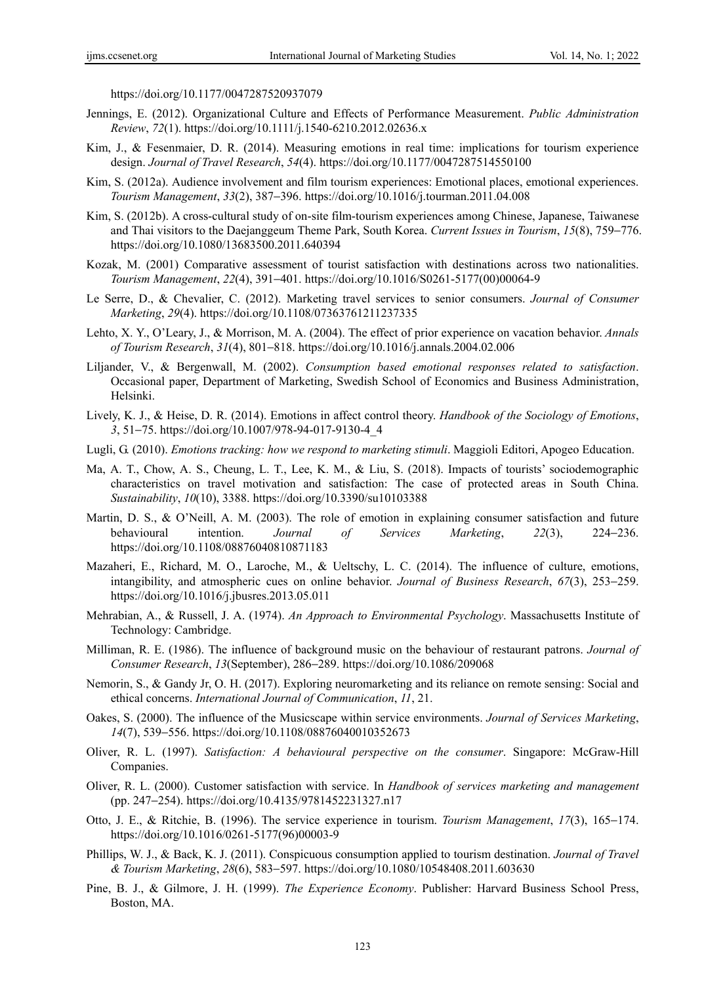https://doi.org/10.1177/0047287520937079

- Jennings, E. (2012). Organizational Culture and Effects of Performance Measurement. *Public Administration Review*, *72*(1). https://doi.org/10.1111/j.1540-6210.2012.02636.x
- Kim, J., & Fesenmaier, D. R. (2014). Measuring emotions in real time: implications for tourism experience design. *Journal of Travel Research*, *54*(4). https://doi.org/10.1177/0047287514550100
- Kim, S. (2012a). Audience involvement and film tourism experiences: Emotional places, emotional experiences. *Tourism Management*, *33*(2), 387−396. https://doi.org/10.1016/j.tourman.2011.04.008
- Kim, S. (2012b). A cross-cultural study of on-site film-tourism experiences among Chinese, Japanese, Taiwanese and Thai visitors to the Daejanggeum Theme Park, South Korea. *Current Issues in Tourism*, *15*(8), 759−776. https://doi.org/10.1080/13683500.2011.640394
- Kozak, M. (2001) Comparative assessment of tourist satisfaction with destinations across two nationalities. *Tourism Management*, *22*(4), 391−401. https://doi.org/10.1016/S0261-5177(00)00064-9
- Le Serre, D., & Chevalier, C. (2012). Marketing travel services to senior consumers. *Journal of Consumer Marketing*, *29*(4). https://doi.org/10.1108/07363761211237335
- Lehto, X. Y., O'Leary, J., & Morrison, M. A. (2004). The effect of prior experience on vacation behavior. *Annals of Tourism Research*, *31*(4), 801−818. https://doi.org/10.1016/j.annals.2004.02.006
- Liljander, V., & Bergenwall, M. (2002). *Consumption based emotional responses related to satisfaction*. Occasional paper, Department of Marketing, Swedish School of Economics and Business Administration, Helsinki.
- Lively, K. J., & Heise, D. R. (2014). Emotions in affect control theory. *Handbook of the Sociology of Emotions*, *3*, 51−75. https://doi.org/10.1007/978-94-017-9130-4\_4
- Lugli, G. (2010). *Emotions tracking: how we respond to marketing stimuli*. Maggioli Editori, Apogeo Education.
- Ma, A. T., Chow, A. S., Cheung, L. T., Lee, K. M., & Liu, S. (2018). Impacts of tourists' sociodemographic characteristics on travel motivation and satisfaction: The case of protected areas in South China. *Sustainability*, *10*(10), 3388. https://doi.org/10.3390/su10103388
- Martin, D. S., & O'Neill, A. M. (2003). The role of emotion in explaining consumer satisfaction and future behavioural intention. *Journal of Services Marketing*, *22*(3), 224−236. https://doi.org/10.1108/08876040810871183
- Mazaheri, E., Richard, M. O., Laroche, M., & Ueltschy, L. C. (2014). The influence of culture, emotions, intangibility, and atmospheric cues on online behavior. *Journal of Business Research*, *67*(3), 253−259. https://doi.org/10.1016/j.jbusres.2013.05.011
- Mehrabian, A., & Russell, J. A. (1974). *An Approach to Environmental Psychology*. Massachusetts Institute of Technology: Cambridge.
- Milliman, R. E. (1986). The influence of background music on the behaviour of restaurant patrons. *Journal of Consumer Research*, *13*(September), 286−289. https://doi.org/10.1086/209068
- Nemorin, S., & Gandy Jr, O. H. (2017). Exploring neuromarketing and its reliance on remote sensing: Social and ethical concerns. *International Journal of Communication*, *11*, 21.
- Oakes, S. (2000). The influence of the Musicscape within service environments. *Journal of Services Marketing*, *14*(7), 539−556. https://doi.org/10.1108/08876040010352673
- Oliver, R. L. (1997). *Satisfaction: A behavioural perspective on the consumer*. Singapore: McGraw-Hill Companies.
- Oliver, R. L. (2000). Customer satisfaction with service. In *Handbook of services marketing and management* (pp. 247−254). https://doi.org/10.4135/9781452231327.n17
- Otto, J. E., & Ritchie, B. (1996). The service experience in tourism. *Tourism Management*, *17*(3), 165−174. https://doi.org/10.1016/0261-5177(96)00003-9
- Phillips, W. J., & Back, K. J. (2011). Conspicuous consumption applied to tourism destination. *Journal of Travel & Tourism Marketing*, *28*(6), 583−597. https://doi.org/10.1080/10548408.2011.603630
- Pine, B. J., & Gilmore, J. H. (1999). *The Experience Economy*. Publisher: Harvard Business School Press, Boston, MA.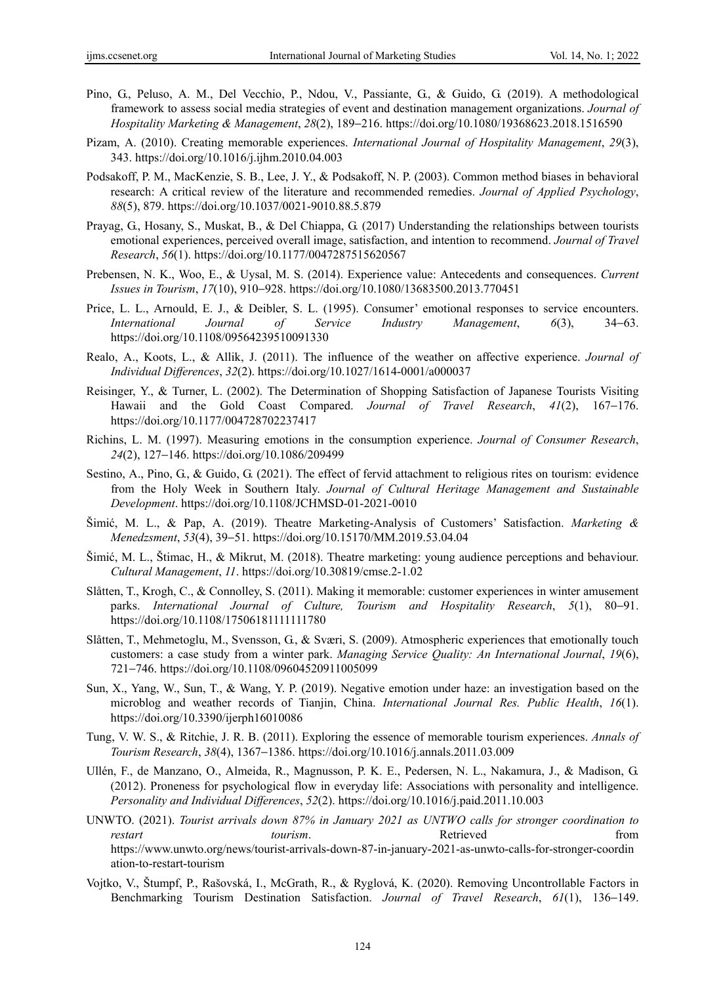- Pino, G., Peluso, A. M., Del Vecchio, P., Ndou, V., Passiante, G., & Guido, G. (2019). A methodological framework to assess social media strategies of event and destination management organizations. *Journal of Hospitality Marketing & Management*, *28*(2), 189−216. https://doi.org/10.1080/19368623.2018.1516590
- Pizam, A. (2010). Creating memorable experiences. *International Journal of Hospitality Management*, *29*(3), 343. https://doi.org/10.1016/j.ijhm.2010.04.003
- Podsakoff, P. M., MacKenzie, S. B., Lee, J. Y., & Podsakoff, N. P. (2003). Common method biases in behavioral research: A critical review of the literature and recommended remedies. *Journal of Applied Psychology*, *88*(5), 879. https://doi.org/10.1037/0021-9010.88.5.879
- Prayag, G., Hosany, S., Muskat, B., & Del Chiappa, G. (2017) Understanding the relationships between tourists emotional experiences, perceived overall image, satisfaction, and intention to recommend. *Journal of Travel Research*, *56*(1). https://doi.org/10.1177/0047287515620567
- Prebensen, N. K., Woo, E., & Uysal, M. S. (2014). Experience value: Antecedents and consequences. *Current Issues in Tourism*, *17*(10), 910−928. https://doi.org/10.1080/13683500.2013.770451
- Price, L. L., Arnould, E. J., & Deibler, S. L. (1995). Consumer' emotional responses to service encounters. *International Journal of Service Industry Management*, *6*(3), 34−63. https://doi.org/10.1108/09564239510091330
- Realo, A., Koots, L., & Allik, J. (2011). The influence of the weather on affective experience. *Journal of Individual Differences*, *32*(2). https://doi.org/10.1027/1614-0001/a000037
- Reisinger, Y., & Turner, L. (2002). The Determination of Shopping Satisfaction of Japanese Tourists Visiting Hawaii and the Gold Coast Compared. *Journal of Travel Research*, *41*(2), 167−176. https://doi.org/10.1177/004728702237417
- Richins, L. M. (1997). Measuring emotions in the consumption experience. *Journal of Consumer Research*, *24*(2), 127−146. https://doi.org/10.1086/209499
- Sestino, A., Pino, G., & Guido, G. (2021). The effect of fervid attachment to religious rites on tourism: evidence from the Holy Week in Southern Italy. *Journal of Cultural Heritage Management and Sustainable Development*. https://doi.org/10.1108/JCHMSD-01-2021-0010
- Šimić, M. L., & Pap, A. (2019). Theatre Marketing-Analysis of Customers' Satisfaction. *Marketing & Menedzsment*, *53*(4), 39−51. https://doi.org/10.15170/MM.2019.53.04.04
- Šimić, M. L., Štimac, H., & Mikrut, M. (2018). Theatre marketing: young audience perceptions and behaviour. *Cultural Management*, *11*. https://doi.org/10.30819/cmse.2-1.02
- Slåtten, T., Krogh, C., & Connolley, S. (2011). Making it memorable: customer experiences in winter amusement parks. *International Journal of Culture, Tourism and Hospitality Research*, *5*(1), 80−91. https://doi.org/10.1108/17506181111111780
- Slåtten, T., Mehmetoglu, M., Svensson, G., & Sværi, S. (2009). Atmospheric experiences that emotionally touch customers: a case study from a winter park. *Managing Service Quality: An International Journal*, *19*(6), 721−746. https://doi.org/10.1108/09604520911005099
- Sun, X., Yang, W., Sun, T., & Wang, Y. P. (2019). Negative emotion under haze: an investigation based on the microblog and weather records of Tianjin, China. *International Journal Res. Public Health*, *16*(1). https://doi.org/10.3390/ijerph16010086
- Tung, V. W. S., & Ritchie, J. R. B. (2011). Exploring the essence of memorable tourism experiences. *Annals of Tourism Research*, *38*(4), 1367−1386. https://doi.org/10.1016/j.annals.2011.03.009
- Ullén, F., de Manzano, O., Almeida, R., Magnusson, P. K. E., Pedersen, N. L., Nakamura, J., & Madison, G. (2012). Proneness for psychological flow in everyday life: Associations with personality and intelligence. *Personality and Individual Differences*, *52*(2). https://doi.org/10.1016/j.paid.2011.10.003
- UNWTO. (2021). *Tourist arrivals down 87% in January 2021 as UNTWO calls for stronger coordination to restart* tourism. Retrieved **from** Retrieved **from** https://www.unwto.org/news/tourist-arrivals-down-87-in-january-2021-as-unwto-calls-for-stronger-coordin ation-to-restart-tourism
- Vojtko, V., Štumpf, P., Rašovská, I., McGrath, R., & Ryglová, K. (2020). Removing Uncontrollable Factors in Benchmarking Tourism Destination Satisfaction. *Journal of Travel Research*, *61*(1), 136−149.